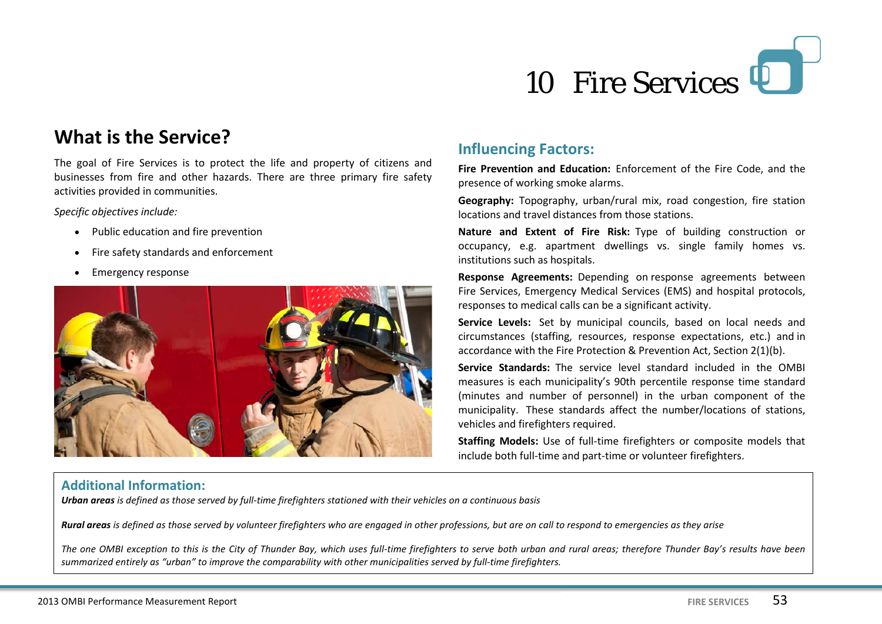

# **What is the Service?**

The goal of Fire Services is to protect the life and property of citizens and businesses from fire and other hazards. There are three primary fire safety activities provided in communities.

*Specific objectives include:*

- Public education and fire prevention
- Fire safety standards and enforcement
- Emergency response



### **Influencing Factors:**

**Fire Prevention and Education:** Enforcement of the Fire Code, and the presence of working smoke alarms.

**Geography:** Topography, urban/rural mix, road congestion, fire station locations and travel distances from those stations.

**Nature and Extent of Fire Risk:** Type of building construction or occupancy, e.g. apartment dwellings vs. single family homes vs. institutions such as hospitals.

**Response Agreements:** Depending on response agreements between Fire Services, Emergency Medical Services (EMS) and hospital protocols, responses to medical calls can be a significant activity.

**Service Levels:** Set by municipal councils, based on local needs and circumstances (staffing, resources, response expectations, etc.) and in accordance with the Fire Protection & Prevention Act, Section 2(1)(b).

**Service Standards:** The service level standard included in the OMBI measures is each municipality's 90th percentile response time standard (minutes and number of personnel) in the urban component of the municipality. These standards affect the number/locations of stations, vehicles and firefighters required.

**Staffing Models:** Use of full-time firefighters or composite models that include both full-time and part-time or volunteer firefighters.

### **Additional Information:**

*Urban areas is defined as those served by full-time firefighters stationed with their vehicles on a continuous basis*

*Rural areas is defined as those served by volunteer firefighters who are engaged in other professions, but are on call to respond to emergencies as they arise*

*The one OMBI exception to this is the City of Thunder Bay, which uses full-time firefighters to serve both urban and rural areas; therefore Thunder Bay's results have been summarized entirely as "urban" to improve the comparability with other municipalities served by full-time firefighters.*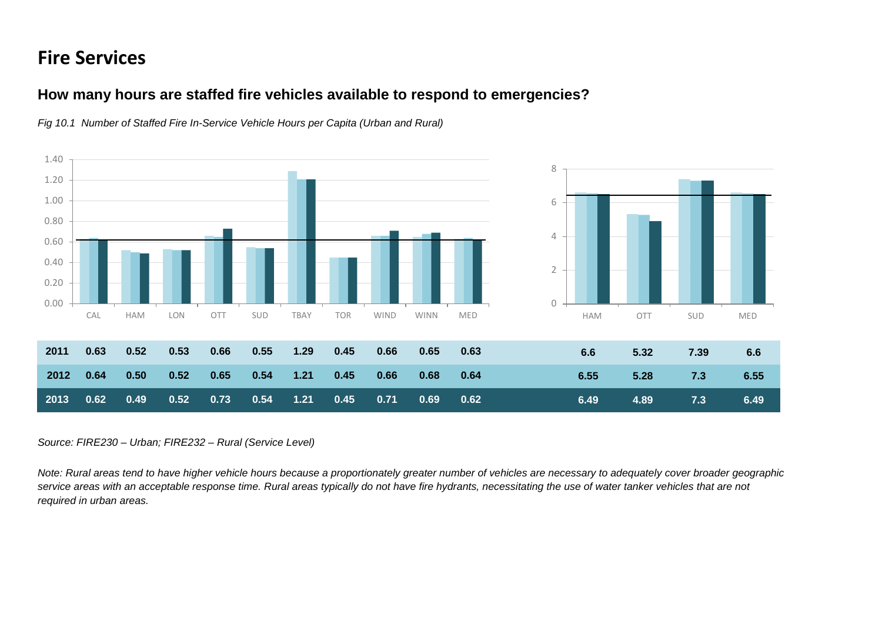# **Fire Services**

### **How many hours are staffed fire vehicles available to respond to emergencies?**



*Fig 10.1 Number of Staffed Fire In-Service Vehicle Hours per Capita (Urban and Rural)*

#### *Source: FIRE230 – Urban; FIRE232 – Rural (Service Level)*

*Note: Rural areas tend to have higher vehicle hours because a proportionately greater number of vehicles are necessary to adequately cover broader geographic service areas with an acceptable response time. Rural areas typically do not have fire hydrants, necessitating the use of water tanker vehicles that are not required in urban areas.*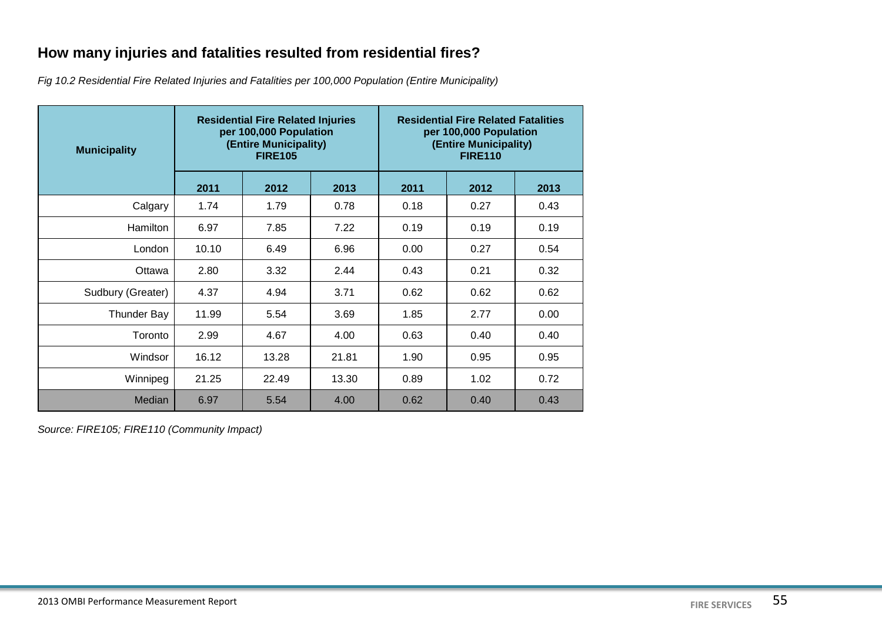## **How many injuries and fatalities resulted from residential fires?**

*Fig 10.2 Residential Fire Related Injuries and Fatalities per 100,000 Population (Entire Municipality)*

| <b>Municipality</b> | <b>Residential Fire Related Injuries</b><br>per 100,000 Population<br>(Entire Municipality)<br><b>FIRE105</b> |       |       | <b>Residential Fire Related Fatalities</b><br>per 100,000 Population<br>(Entire Municipality)<br><b>FIRE110</b> |      |      |
|---------------------|---------------------------------------------------------------------------------------------------------------|-------|-------|-----------------------------------------------------------------------------------------------------------------|------|------|
|                     | 2011                                                                                                          | 2012  | 2013  | 2011                                                                                                            | 2012 | 2013 |
| Calgary             | 1.74                                                                                                          | 1.79  | 0.78  | 0.18                                                                                                            | 0.27 | 0.43 |
| <b>Hamilton</b>     | 6.97                                                                                                          | 7.85  | 7.22  | 0.19                                                                                                            | 0.19 | 0.19 |
| London              | 10.10                                                                                                         | 6.49  | 6.96  | 0.00                                                                                                            | 0.27 | 0.54 |
| Ottawa              | 2.80                                                                                                          | 3.32  | 2.44  | 0.43                                                                                                            | 0.21 | 0.32 |
| Sudbury (Greater)   | 4.37                                                                                                          | 4.94  | 3.71  | 0.62                                                                                                            | 0.62 | 0.62 |
| <b>Thunder Bay</b>  | 11.99                                                                                                         | 5.54  | 3.69  | 1.85                                                                                                            | 2.77 | 0.00 |
| Toronto             | 2.99                                                                                                          | 4.67  | 4.00  | 0.63                                                                                                            | 0.40 | 0.40 |
| Windsor             | 16.12                                                                                                         | 13.28 | 21.81 | 1.90                                                                                                            | 0.95 | 0.95 |
| Winnipeg            | 21.25                                                                                                         | 22.49 | 13.30 | 0.89                                                                                                            | 1.02 | 0.72 |
| Median              | 6.97                                                                                                          | 5.54  | 4.00  | 0.62                                                                                                            | 0.40 | 0.43 |

*Source: FIRE105; FIRE110 (Community Impact)*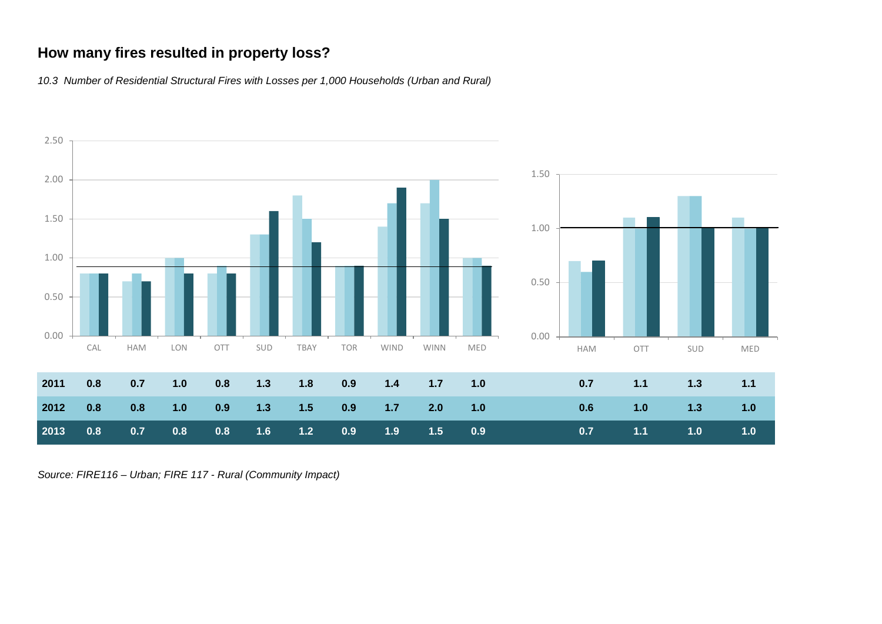## **How many fires resulted in property loss?**

*10.3 Number of Residential Structural Fires with Losses per 1,000 Households (Urban and Rural)*



*Source: FIRE116 – Urban; FIRE 117 - Rural (Community Impact)*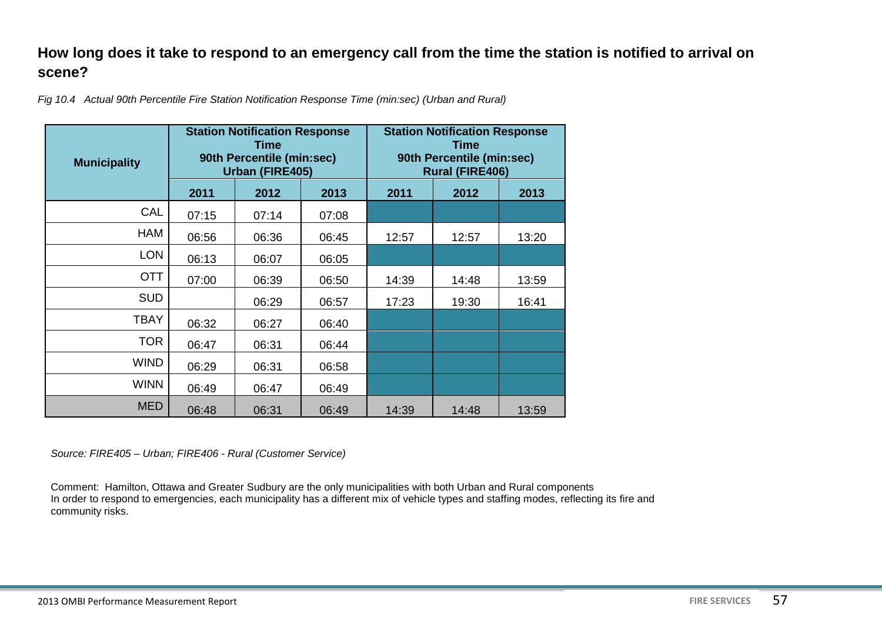## **How long does it take to respond to an emergency call from the time the station is notified to arrival on scene?**

*Fig 10.4 Actual 90th Percentile Fire Station Notification Response Time (min:sec) (Urban and Rural)* 

| <b>Municipality</b> | <b>Station Notification Response</b><br>Time<br>90th Percentile (min:sec)<br>Urban (FIRE405) |       |       | <b>Station Notification Response</b><br><b>Time</b><br>90th Percentile (min:sec)<br><b>Rural (FIRE406)</b> |       |       |
|---------------------|----------------------------------------------------------------------------------------------|-------|-------|------------------------------------------------------------------------------------------------------------|-------|-------|
|                     | 2011                                                                                         | 2012  | 2013  | 2011                                                                                                       | 2012  | 2013  |
| CAL                 | 07:15                                                                                        | 07:14 | 07:08 |                                                                                                            |       |       |
| <b>HAM</b>          | 06:56                                                                                        | 06:36 | 06:45 | 12:57                                                                                                      | 12:57 | 13:20 |
| <b>LON</b>          | 06:13                                                                                        | 06:07 | 06:05 |                                                                                                            |       |       |
| <b>OTT</b>          | 07:00                                                                                        | 06:39 | 06:50 | 14:39                                                                                                      | 14:48 | 13:59 |
| <b>SUD</b>          |                                                                                              | 06:29 | 06:57 | 17:23                                                                                                      | 19:30 | 16:41 |
| <b>TBAY</b>         | 06:32                                                                                        | 06:27 | 06:40 |                                                                                                            |       |       |
| TOR.                | 06:47                                                                                        | 06:31 | 06:44 |                                                                                                            |       |       |
| <b>WIND</b>         | 06:29                                                                                        | 06:31 | 06:58 |                                                                                                            |       |       |
| <b>WINN</b>         | 06:49                                                                                        | 06:47 | 06:49 |                                                                                                            |       |       |
| <b>MED</b>          | 06:48                                                                                        | 06:31 | 06:49 | 14:39                                                                                                      | 14:48 | 13:59 |

*Source: FIRE405 – Urban; FIRE406 - Rural (Customer Service)*

Comment: Hamilton, Ottawa and Greater Sudbury are the only municipalities with both Urban and Rural components In order to respond to emergencies, each municipality has a different mix of vehicle types and staffing modes, reflecting its fire and community risks.